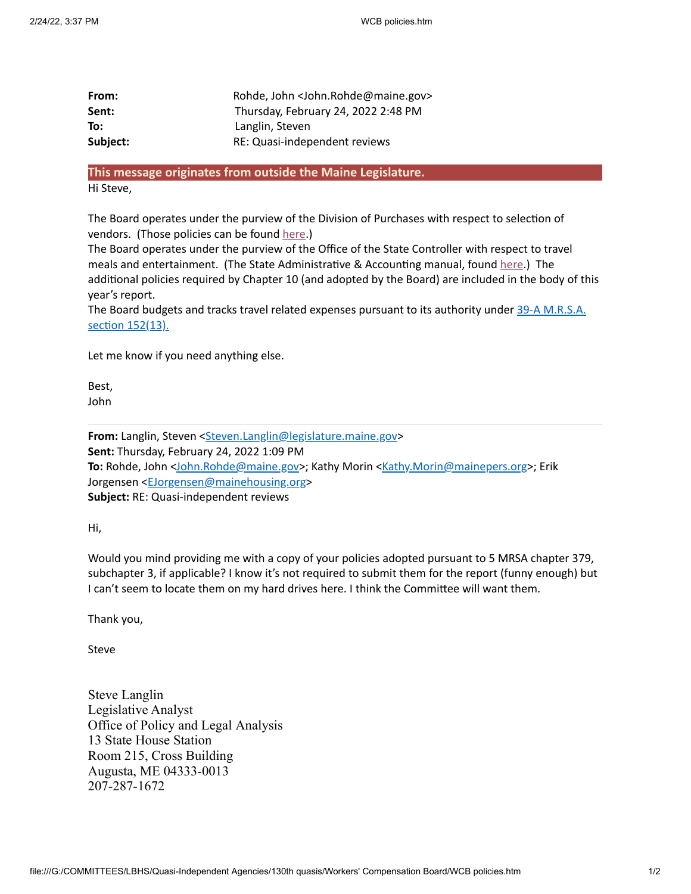| From:    | Rohde, John <john.rohde@maine.gov></john.rohde@maine.gov> |
|----------|-----------------------------------------------------------|
| Sent:    | Thursday, February 24, 2022 2:48 PM                       |
| To:      | Langlin, Steven                                           |
| Subject: | RE: Quasi-independent reviews                             |

## **This message originates from outside the Maine Legislature.**

Hi Steve,

The Board operates under the purview of the Division of Purchases with respect to selection of vendors. (Those policies can be found [here.](https://www.maine.gov/dafs/bbm/procurementservices/Policies-Procedures))

The Board operates under the purview of the Office of the State Controller with respect to travel meals and entertainment. (The State Administrative & Accounting manual, found [here.](https://www.maine.gov/dafs/bbm/procurementservices/Policies-Procedures)) The additional policies required by Chapter 10 (and adopted by the Board) are included in the body of this year's report.

The Board budgets and tracks travel related expenses pursuant to its [authority](file:///G:/COMMITTEES/LBHS/Quasi-Independent%20Agencies/130th%20quasis/Workers) under 39-A M.R.S.A. section 152(13).

Let me know if you need anything else.

Best, John

From: Langlin, Steven [<Steven.Langlin@legislature.maine.gov](mailto:Steven.Langlin@legislature.maine.gov)> **Sent:** Thursday, February 24, 2022 1:09 PM **To:** Rohde, John <[John.Rohde@maine.gov](mailto:John.Rohde@maine.gov)>; Kathy Morin <[Kathy.Morin@mainepers.org](mailto:Kathy.Morin@mainepers.org)>; Erik Jorgensen [<EJorgensen@mainehousing.org>](mailto:EJorgensen@mainehousing.org) **Subject:** RE: Quasi-independent reviews

Hi,

Would you mind providing me with a copy of your policies adopted pursuant to 5 MRSA chapter 379, subchapter 3, if applicable? I know it's not required to submit them for the report (funny enough) but I can't seem to locate them on my hard drives here. I think the Committee will want them.

Thank you,

Steve

Steve Langlin Legislative Analyst Office of Policy and Legal Analysis 13 State House Station Room 215, Cross Building Augusta, ME 04333-0013 207-287-1672